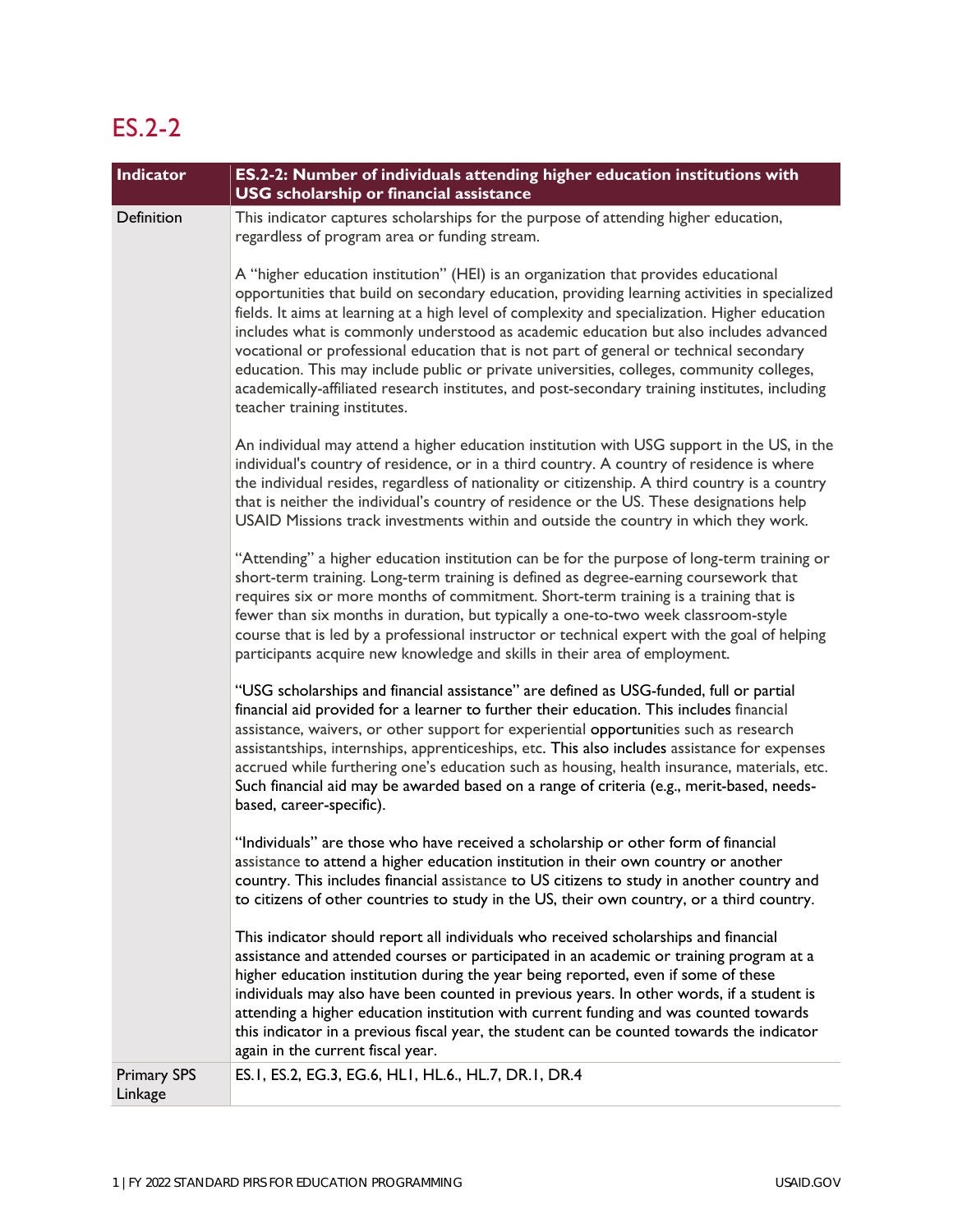## ES.2-2

| Indicator                     | ES.2-2: Number of individuals attending higher education institutions with<br><b>USG</b> scholarship or financial assistance                                                                                                                                                                                                                                                                                                                                                                                                                                                                                                                                                                              |
|-------------------------------|-----------------------------------------------------------------------------------------------------------------------------------------------------------------------------------------------------------------------------------------------------------------------------------------------------------------------------------------------------------------------------------------------------------------------------------------------------------------------------------------------------------------------------------------------------------------------------------------------------------------------------------------------------------------------------------------------------------|
| Definition                    | This indicator captures scholarships for the purpose of attending higher education,<br>regardless of program area or funding stream.                                                                                                                                                                                                                                                                                                                                                                                                                                                                                                                                                                      |
|                               | A "higher education institution" (HEI) is an organization that provides educational<br>opportunities that build on secondary education, providing learning activities in specialized<br>fields. It aims at learning at a high level of complexity and specialization. Higher education<br>includes what is commonly understood as academic education but also includes advanced<br>vocational or professional education that is not part of general or technical secondary<br>education. This may include public or private universities, colleges, community colleges,<br>academically-affiliated research institutes, and post-secondary training institutes, including<br>teacher training institutes. |
|                               | An individual may attend a higher education institution with USG support in the US, in the<br>individual's country of residence, or in a third country. A country of residence is where<br>the individual resides, regardless of nationality or citizenship. A third country is a country<br>that is neither the individual's country of residence or the US. These designations help<br>USAID Missions track investments within and outside the country in which they work.                                                                                                                                                                                                                              |
|                               | "Attending" a higher education institution can be for the purpose of long-term training or<br>short-term training. Long-term training is defined as degree-earning coursework that<br>requires six or more months of commitment. Short-term training is a training that is<br>fewer than six months in duration, but typically a one-to-two week classroom-style<br>course that is led by a professional instructor or technical expert with the goal of helping<br>participants acquire new knowledge and skills in their area of employment.                                                                                                                                                            |
|                               | "USG scholarships and financial assistance" are defined as USG-funded, full or partial<br>financial aid provided for a learner to further their education. This includes financial<br>assistance, waivers, or other support for experiential opportunities such as research<br>assistantships, internships, apprenticeships, etc. This also includes assistance for expenses<br>accrued while furthering one's education such as housing, health insurance, materials, etc.<br>Such financial aid may be awarded based on a range of criteria (e.g., merit-based, needs-<br>based, career-specific).                                                                                                      |
|                               | "Individuals" are those who have received a scholarship or other form of financial<br>assistance to attend a higher education institution in their own country or another<br>country. This includes financial assistance to US citizens to study in another country and<br>to citizens of other countries to study in the US, their own country, or a third country.                                                                                                                                                                                                                                                                                                                                      |
|                               | This indicator should report all individuals who received scholarships and financial<br>assistance and attended courses or participated in an academic or training program at a<br>higher education institution during the year being reported, even if some of these<br>individuals may also have been counted in previous years. In other words, if a student is<br>attending a higher education institution with current funding and was counted towards<br>this indicator in a previous fiscal year, the student can be counted towards the indicator<br>again in the current fiscal year.                                                                                                            |
| <b>Primary SPS</b><br>Linkage | ES. I, ES. 2, EG. 3, EG. 6, HLI, HL. 6., HL. 7, DR. I, DR. 4                                                                                                                                                                                                                                                                                                                                                                                                                                                                                                                                                                                                                                              |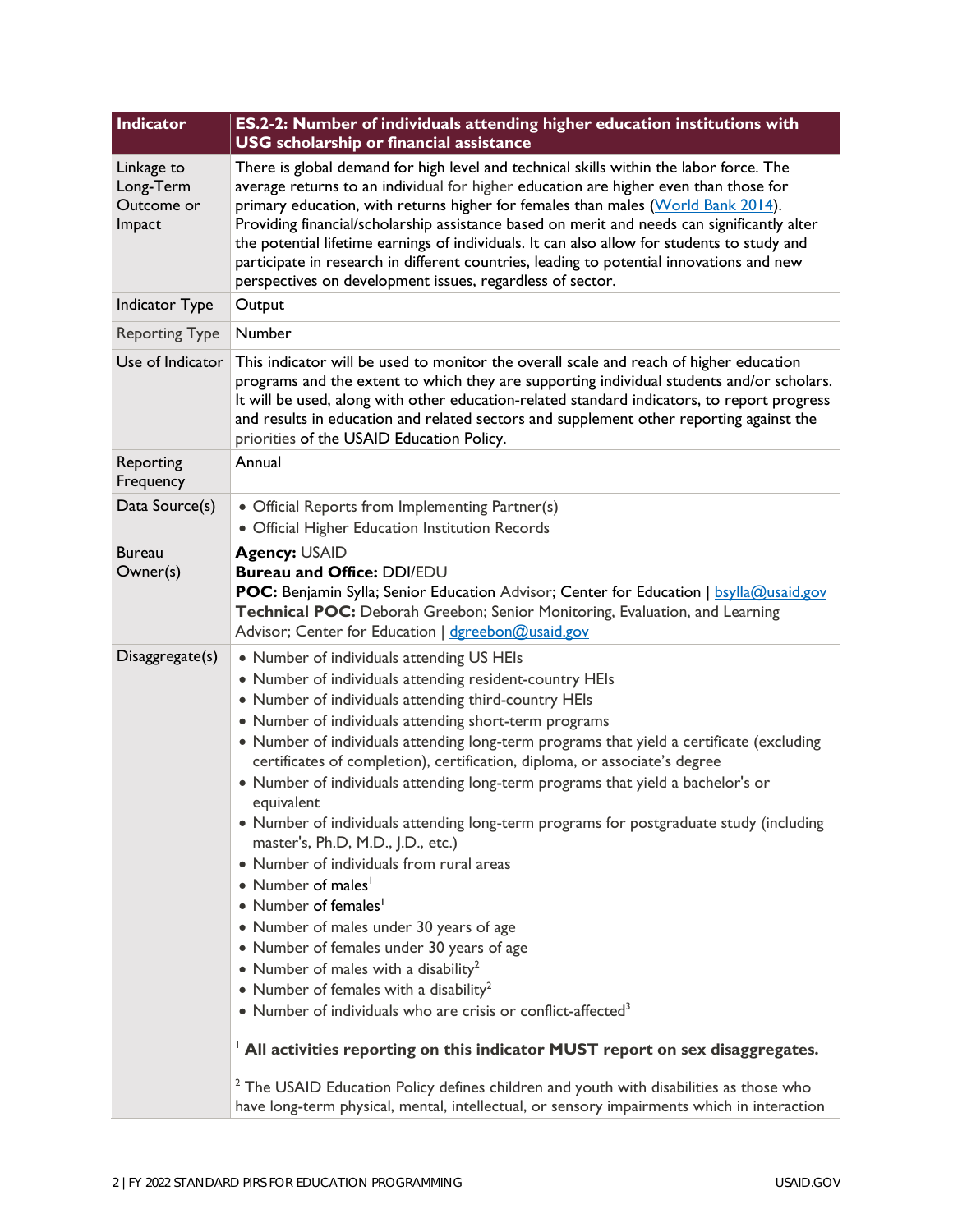| Indicator                                       | ES.2-2: Number of individuals attending higher education institutions with<br><b>USG</b> scholarship or financial assistance                                                                                                                                                                                                                                                                                                                                                                                                                                                                                                                                                                                                                                                                                                                                                                                                                                                                                                                                                                                                                                                                                                                                                                                                    |
|-------------------------------------------------|---------------------------------------------------------------------------------------------------------------------------------------------------------------------------------------------------------------------------------------------------------------------------------------------------------------------------------------------------------------------------------------------------------------------------------------------------------------------------------------------------------------------------------------------------------------------------------------------------------------------------------------------------------------------------------------------------------------------------------------------------------------------------------------------------------------------------------------------------------------------------------------------------------------------------------------------------------------------------------------------------------------------------------------------------------------------------------------------------------------------------------------------------------------------------------------------------------------------------------------------------------------------------------------------------------------------------------|
| Linkage to<br>Long-Term<br>Outcome or<br>Impact | There is global demand for high level and technical skills within the labor force. The<br>average returns to an individual for higher education are higher even than those for<br>primary education, with returns higher for females than males (World Bank 2014).<br>Providing financial/scholarship assistance based on merit and needs can significantly alter<br>the potential lifetime earnings of individuals. It can also allow for students to study and<br>participate in research in different countries, leading to potential innovations and new<br>perspectives on development issues, regardless of sector.                                                                                                                                                                                                                                                                                                                                                                                                                                                                                                                                                                                                                                                                                                       |
| Indicator Type                                  | Output                                                                                                                                                                                                                                                                                                                                                                                                                                                                                                                                                                                                                                                                                                                                                                                                                                                                                                                                                                                                                                                                                                                                                                                                                                                                                                                          |
| <b>Reporting Type</b>                           | Number                                                                                                                                                                                                                                                                                                                                                                                                                                                                                                                                                                                                                                                                                                                                                                                                                                                                                                                                                                                                                                                                                                                                                                                                                                                                                                                          |
| Use of Indicator                                | This indicator will be used to monitor the overall scale and reach of higher education<br>programs and the extent to which they are supporting individual students and/or scholars.<br>It will be used, along with other education-related standard indicators, to report progress<br>and results in education and related sectors and supplement other reporting against the<br>priorities of the USAID Education Policy.                                                                                                                                                                                                                                                                                                                                                                                                                                                                                                                                                                                                                                                                                                                                                                                                                                                                                                      |
| Reporting<br>Frequency                          | Annual                                                                                                                                                                                                                                                                                                                                                                                                                                                                                                                                                                                                                                                                                                                                                                                                                                                                                                                                                                                                                                                                                                                                                                                                                                                                                                                          |
| Data Source(s)                                  | • Official Reports from Implementing Partner(s)<br>• Official Higher Education Institution Records                                                                                                                                                                                                                                                                                                                                                                                                                                                                                                                                                                                                                                                                                                                                                                                                                                                                                                                                                                                                                                                                                                                                                                                                                              |
| <b>Bureau</b><br>Owner(s)                       | <b>Agency: USAID</b><br>Bureau and Office: DDI/EDU<br><b>POC:</b> Benjamin Sylla; Senior Education Advisor; Center for Education   bsylla@usaid.gov<br>Technical POC: Deborah Greebon; Senior Monitoring, Evaluation, and Learning<br>Advisor; Center for Education   dgreebon@usaid.gov                                                                                                                                                                                                                                                                                                                                                                                                                                                                                                                                                                                                                                                                                                                                                                                                                                                                                                                                                                                                                                        |
| Disaggregate(s)                                 | • Number of individuals attending US HEIs<br>• Number of individuals attending resident-country HEIs<br>• Number of individuals attending third-country HEIs<br>• Number of individuals attending short-term programs<br>• Number of individuals attending long-term programs that yield a certificate (excluding<br>certificates of completion), certification, diploma, or associate's degree<br>• Number of individuals attending long-term programs that yield a bachelor's or<br>equivalent<br>• Number of individuals attending long-term programs for postgraduate study (including<br>master's, Ph.D, M.D., J.D., etc.)<br>• Number of individuals from rural areas<br>• Number of males <sup>1</sup><br>• Number of females <sup>1</sup><br>• Number of males under 30 years of age<br>• Number of females under 30 years of age<br>• Number of males with a disability <sup>2</sup><br>• Number of females with a disability <sup>2</sup><br>• Number of individuals who are crisis or conflict-affected <sup>3</sup><br><sup>1</sup> All activities reporting on this indicator MUST report on sex disaggregates.<br><sup>2</sup> The USAID Education Policy defines children and youth with disabilities as those who<br>have long-term physical, mental, intellectual, or sensory impairments which in interaction |